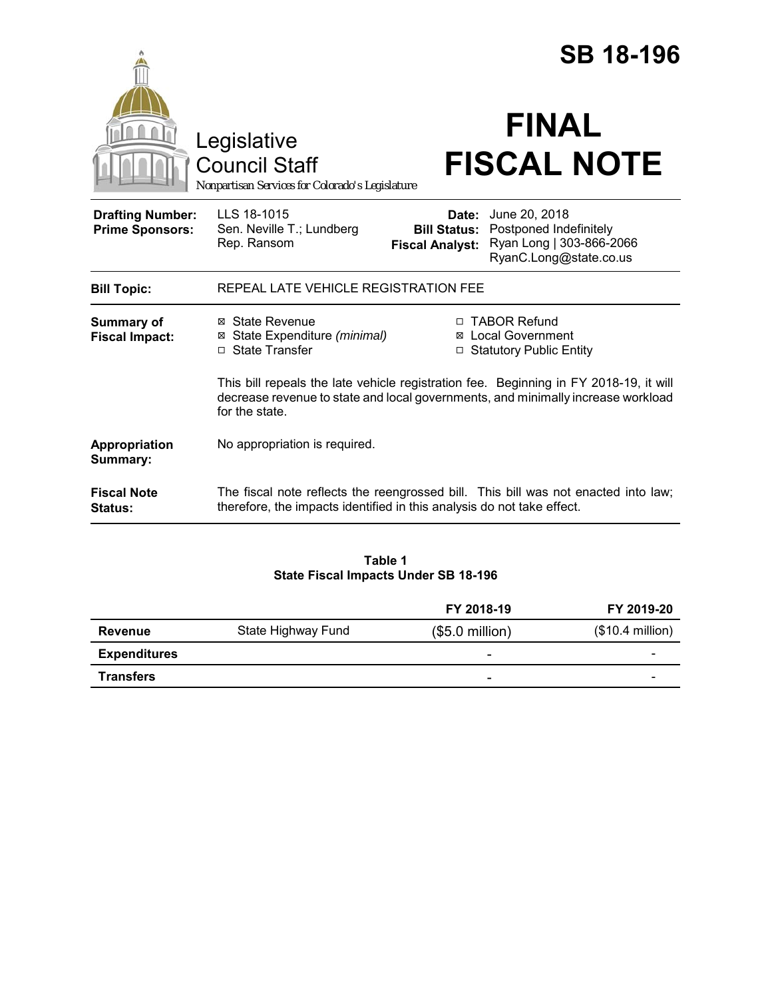|                                                   |                                                                                                                                                                                             | <b>SB 18-196</b>                |                                                                                                                   |  |
|---------------------------------------------------|---------------------------------------------------------------------------------------------------------------------------------------------------------------------------------------------|---------------------------------|-------------------------------------------------------------------------------------------------------------------|--|
|                                                   | Legislative<br><b>Council Staff</b><br>Nonpartisan Services for Colorado's Legislature                                                                                                      |                                 | <b>FINAL</b><br><b>FISCAL NOTE</b>                                                                                |  |
| <b>Drafting Number:</b><br><b>Prime Sponsors:</b> | LLS 18-1015<br>Sen. Neville T.; Lundberg<br>Rep. Ransom                                                                                                                                     | Date:<br><b>Fiscal Analyst:</b> | June 20, 2018<br><b>Bill Status: Postponed Indefinitely</b><br>Ryan Long   303-866-2066<br>RyanC.Long@state.co.us |  |
| <b>Bill Topic:</b>                                | REPEAL LATE VEHICLE REGISTRATION FEE                                                                                                                                                        |                                 |                                                                                                                   |  |
| Summary of<br><b>Fiscal Impact:</b>               | ⊠ State Revenue<br>⊠ State Expenditure (minimal)<br>□ State Transfer                                                                                                                        |                                 | □ TABOR Refund<br><b>⊠</b> Local Government<br>□ Statutory Public Entity                                          |  |
|                                                   | This bill repeals the late vehicle registration fee. Beginning in FY 2018-19, it will<br>decrease revenue to state and local governments, and minimally increase workload<br>for the state. |                                 |                                                                                                                   |  |
| Appropriation<br>Summary:                         | No appropriation is required.                                                                                                                                                               |                                 |                                                                                                                   |  |
| <b>Fiscal Note</b><br>Status:                     | therefore, the impacts identified in this analysis do not take effect.                                                                                                                      |                                 | The fiscal note reflects the reengrossed bill. This bill was not enacted into law;                                |  |

## **Table 1 State Fiscal Impacts Under SB 18-196**

|                     |                    | FY 2018-19               | FY 2019-20        |
|---------------------|--------------------|--------------------------|-------------------|
| Revenue             | State Highway Fund | $($5.0$ million)         | $($10.4$ million) |
| <b>Expenditures</b> |                    | $\overline{\phantom{0}}$ | -                 |
| <b>Transfers</b>    |                    | $\overline{\phantom{0}}$ | -                 |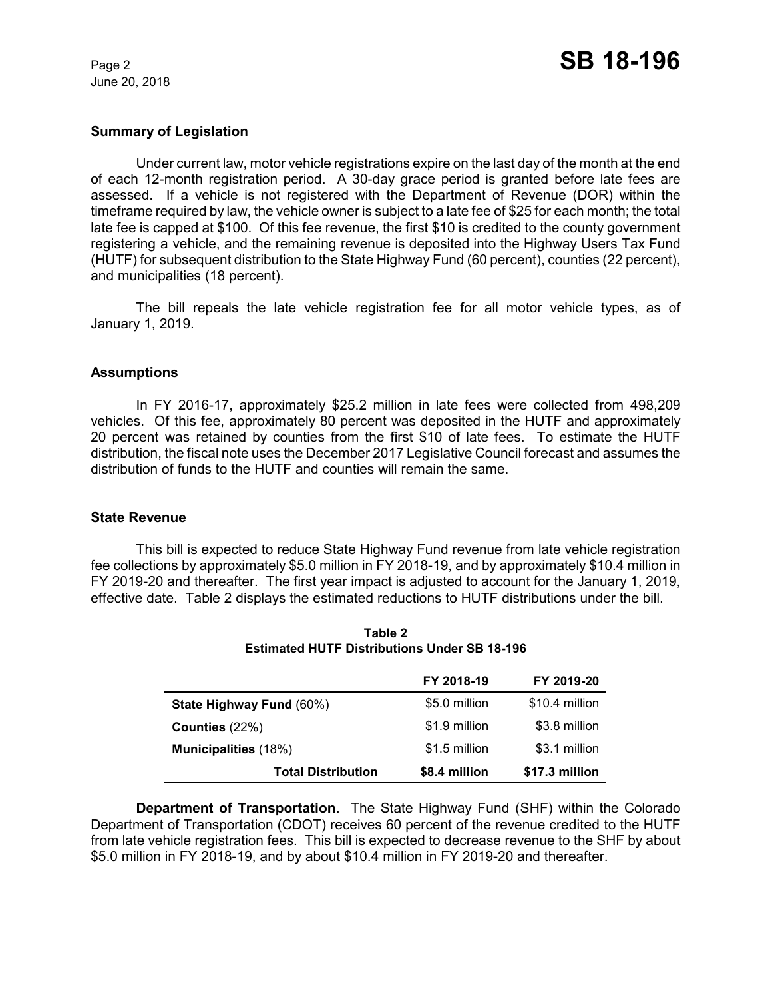June 20, 2018

### **Summary of Legislation**

Under current law, motor vehicle registrations expire on the last day of the month at the end of each 12-month registration period. A 30-day grace period is granted before late fees are assessed. If a vehicle is not registered with the Department of Revenue (DOR) within the timeframe required by law, the vehicle owner is subject to a late fee of \$25 for each month; the total late fee is capped at \$100. Of this fee revenue, the first \$10 is credited to the county government registering a vehicle, and the remaining revenue is deposited into the Highway Users Tax Fund (HUTF) for subsequent distribution to the State Highway Fund (60 percent), counties (22 percent), and municipalities (18 percent).

The bill repeals the late vehicle registration fee for all motor vehicle types, as of January 1, 2019.

### **Assumptions**

In FY 2016-17, approximately \$25.2 million in late fees were collected from 498,209 vehicles. Of this fee, approximately 80 percent was deposited in the HUTF and approximately 20 percent was retained by counties from the first \$10 of late fees. To estimate the HUTF distribution, the fiscal note uses the December 2017 Legislative Council forecast and assumes the distribution of funds to the HUTF and counties will remain the same.

### **State Revenue**

This bill is expected to reduce State Highway Fund revenue from late vehicle registration fee collections by approximately \$5.0 million in FY 2018-19, and by approximately \$10.4 million in FY 2019-20 and thereafter. The first year impact is adjusted to account for the January 1, 2019, effective date. Table 2 displays the estimated reductions to HUTF distributions under the bill.

|                             | FY 2018-19    | FY 2019-20     |
|-----------------------------|---------------|----------------|
| State Highway Fund (60%)    | \$5.0 million | \$10.4 million |
| Counties $(22%)$            | \$1.9 million | \$3.8 million  |
| <b>Municipalities</b> (18%) | \$1.5 million | \$3.1 million  |
| <b>Total Distribution</b>   | \$8.4 million | \$17.3 million |

**Table 2 Estimated HUTF Distributions Under SB 18-196**

**Department of Transportation.**The State Highway Fund (SHF) within the Colorado Department of Transportation (CDOT) receives 60 percent of the revenue credited to the HUTF from late vehicle registration fees. This bill is expected to decrease revenue to the SHF by about \$5.0 million in FY 2018-19, and by about \$10.4 million in FY 2019-20 and thereafter.